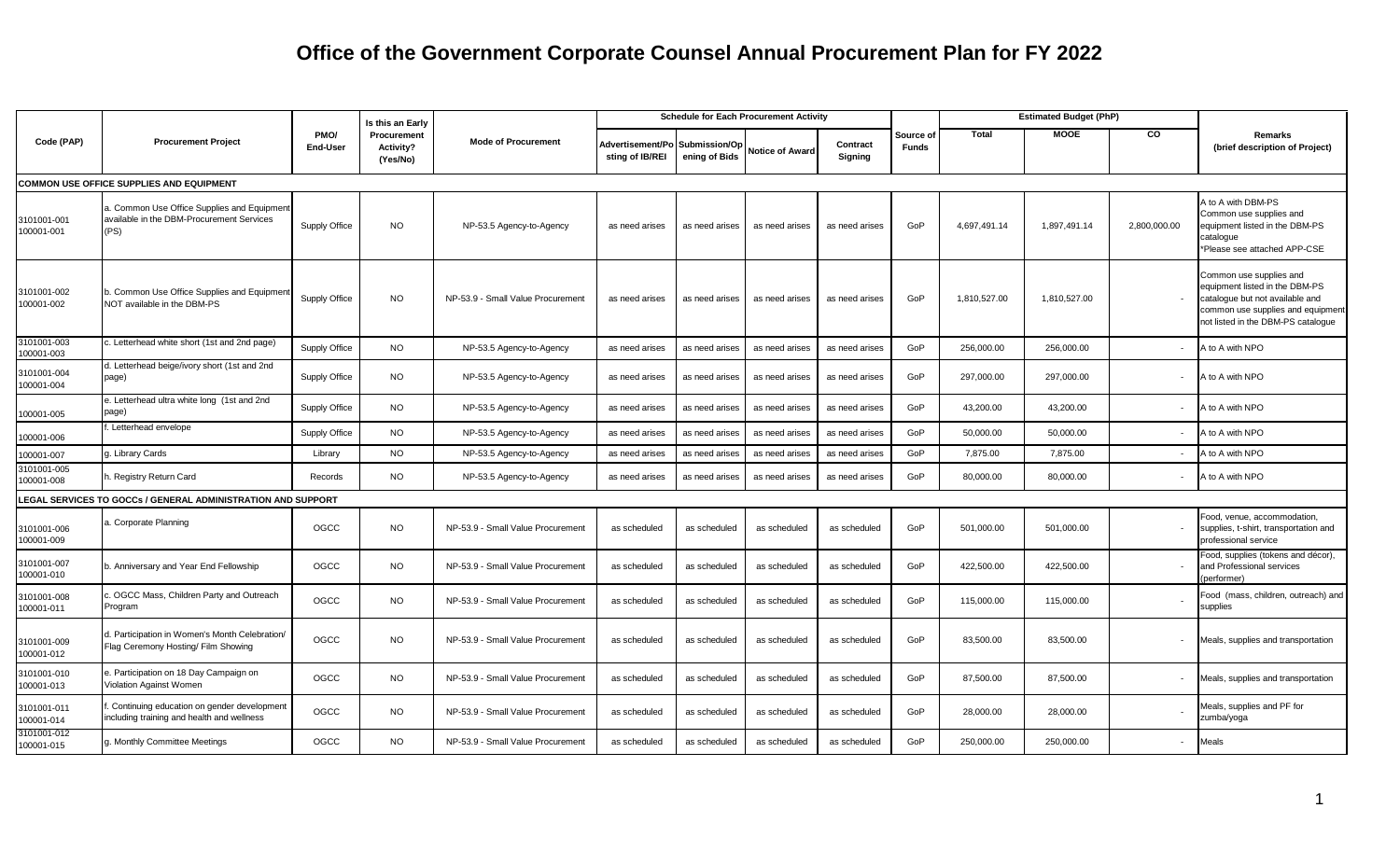|                                                 |                                                                                                  |                  | Is this an Early                            |                                   | <b>Schedule for Each Procurement Activity</b>     |                |                        |                     |                           | <b>Estimated Budget (PhP)</b> |              |                          |                                                                                                                                                                         |
|-------------------------------------------------|--------------------------------------------------------------------------------------------------|------------------|---------------------------------------------|-----------------------------------|---------------------------------------------------|----------------|------------------------|---------------------|---------------------------|-------------------------------|--------------|--------------------------|-------------------------------------------------------------------------------------------------------------------------------------------------------------------------|
| Code (PAP)                                      | <b>Procurement Project</b>                                                                       | PMO/<br>End-User | Procurement<br><b>Activity?</b><br>(Yes/No) | <b>Mode of Procurement</b>        | Advertisement/Po Submission/Op<br>sting of IB/REI | ening of Bids  | <b>Notice of Award</b> | Contract<br>Signing | Source of<br><b>Funds</b> | Total                         | <b>MOOE</b>  | CO                       | <b>Remarks</b><br>(brief description of Project)                                                                                                                        |
| <b>COMMON USE OFFICE SUPPLIES AND EQUIPMENT</b> |                                                                                                  |                  |                                             |                                   |                                                   |                |                        |                     |                           |                               |              |                          |                                                                                                                                                                         |
| 3101001-001<br>100001-001                       | a. Common Use Office Supplies and Equipment<br>available in the DBM-Procurement Services<br>(PS) | Supply Office    | NO                                          | NP-53.5 Agency-to-Agency          | as need arises                                    | as need arises | as need arises         | as need arises      | GoP                       | 4,697,491.14                  | 1,897,491.14 | 2,800,000.00             | A to A with DBM-PS<br>Common use supplies and<br>equipment listed in the DBM-PS<br>cataloque<br>*Please see attached APP-CSE                                            |
| 3101001-002<br>100001-002                       | . Common Use Office Supplies and Equipment<br>NOT available in the DBM-PS                        | Supply Office    | <b>NO</b>                                   | NP-53.9 - Small Value Procurement | as need arises                                    | as need arises | as need arises         | as need arises      | GoP                       | 1,810,527.00                  | 1,810,527.00 |                          | Common use supplies and<br>equipment listed in the DBM-PS<br>catalogue but not available and<br>common use supplies and equipment<br>not listed in the DBM-PS catalogue |
| 3101001-003<br>100001-003                       | c. Letterhead white short (1st and 2nd page)                                                     | Supply Office    | <b>NO</b>                                   | NP-53.5 Agency-to-Agency          | as need arises                                    | as need arises | as need arises         | as need arises      | GoP                       | 256,000.00                    | 256,000.00   |                          | A to A with NPO                                                                                                                                                         |
| 3101001-004<br>100001-004                       | d. Letterhead beige/ivory short (1st and 2nd<br>page)                                            | Supply Office    | <b>NO</b>                                   | NP-53.5 Agency-to-Agency          | as need arises                                    | as need arises | as need arises         | as need arises      | GoP                       | 297,000.00                    | 297,000.00   | $\overline{\phantom{a}}$ | A to A with NPO                                                                                                                                                         |
| 100001-005                                      | e. Letterhead ultra white long (1st and 2nd<br>page)                                             | Supply Office    | <b>NO</b>                                   | NP-53.5 Agency-to-Agency          | as need arises                                    | as need arises | as need arises         | as need arises      | GoP                       | 43,200.00                     | 43,200.00    |                          | A to A with NPO                                                                                                                                                         |
| 100001-006                                      | Letterhead envelope                                                                              | Supply Office    | <b>NO</b>                                   | NP-53.5 Agency-to-Agency          | as need arises                                    | as need arises | as need arises         | as need arises      | GoP                       | 50,000.00                     | 50,000.00    |                          | A to A with NPO                                                                                                                                                         |
| 100001-007                                      | 3. Library Cards                                                                                 | Library          | <b>NO</b>                                   | NP-53.5 Agency-to-Agency          | as need arises                                    | as need arise: | as need arises         | as need arises      | GoP                       | 7,875.00                      | 7,875.00     |                          | A to A with NPO                                                                                                                                                         |
| 3101001-005<br>100001-008                       | n. Registry Return Card                                                                          | Records          | <b>NO</b>                                   | NP-53.5 Agency-to-Agency          | as need arises                                    | as need arises | as need arises         | as need arises      | GoP                       | 80,000.00                     | 80,000.00    |                          | A to A with NPO                                                                                                                                                         |
|                                                 | <b>LEGAL SERVICES TO GOCCs / GENERAL ADMINISTRATION AND SUPPORT</b>                              |                  |                                             |                                   |                                                   |                |                        |                     |                           |                               |              |                          |                                                                                                                                                                         |
| 3101001-006<br>100001-009                       | . Corporate Planning                                                                             | OGCC             | <b>NO</b>                                   | NP-53.9 - Small Value Procurement | as scheduled                                      | as scheduled   | as scheduled           | as scheduled        | GoP                       | 501,000.00                    | 501,000.00   |                          | Food, venue, accommodation,<br>supplies, t-shirt, transportation and<br>professional service                                                                            |
| 3101001-007<br>100001-010                       | b. Anniversary and Year End Fellowship                                                           | OGCC             | <b>NO</b>                                   | NP-53.9 - Small Value Procurement | as scheduled                                      | as scheduled   | as scheduled           | as scheduled        | GoP                       | 422,500.00                    | 422,500.00   |                          | Food, supplies (tokens and décor),<br>and Professional services<br>performer)                                                                                           |
| 3101001-008<br>100001-011                       | OGCC Mass, Children Party and Outreach<br>Program                                                | OGCC             | <b>NO</b>                                   | NP-53.9 - Small Value Procurement | as scheduled                                      | as scheduled   | as scheduled           | as scheduled        | GoP                       | 115,000.00                    | 115,000.00   |                          | Food (mass, children, outreach) and<br>supplies                                                                                                                         |
| 3101001-009<br>100001-012                       | d. Participation in Women's Month Celebration/<br>Flag Ceremony Hosting/ Film Showing            | OGCC             | <b>NO</b>                                   | NP-53.9 - Small Value Procurement | as scheduled                                      | as scheduled   | as scheduled           | as scheduled        | GoP                       | 83,500.00                     | 83,500.00    |                          | Meals, supplies and transportation                                                                                                                                      |
| 3101001-010<br>100001-013                       | . Participation on 18 Day Campaign on<br>Violation Against Women                                 | OGCC             | <b>NO</b>                                   | NP-53.9 - Small Value Procurement | as scheduled                                      | as scheduled   | as scheduled           | as scheduled        | GoP                       | 87,500.00                     | 87,500.00    |                          | Meals, supplies and transportation                                                                                                                                      |
| 3101001-011<br>100001-014                       | Continuing education on gender development<br>including training and health and wellness         | OGCC             | <b>NO</b>                                   | NP-53.9 - Small Value Procurement | as scheduled                                      | as scheduled   | as scheduled           | as scheduled        | GoP                       | 28,000.00                     | 28,000.00    |                          | Meals, supplies and PF for<br>zumba/yoga                                                                                                                                |
| 3101001-012<br>100001-015                       | g. Monthly Committee Meetings                                                                    | OGCC             | <b>NO</b>                                   | NP-53.9 - Small Value Procurement | as scheduled                                      | as scheduled   | as scheduled           | as scheduled        | GoP                       | 250,000.00                    | 250,000.00   | $\overline{\phantom{a}}$ | <b>Meals</b>                                                                                                                                                            |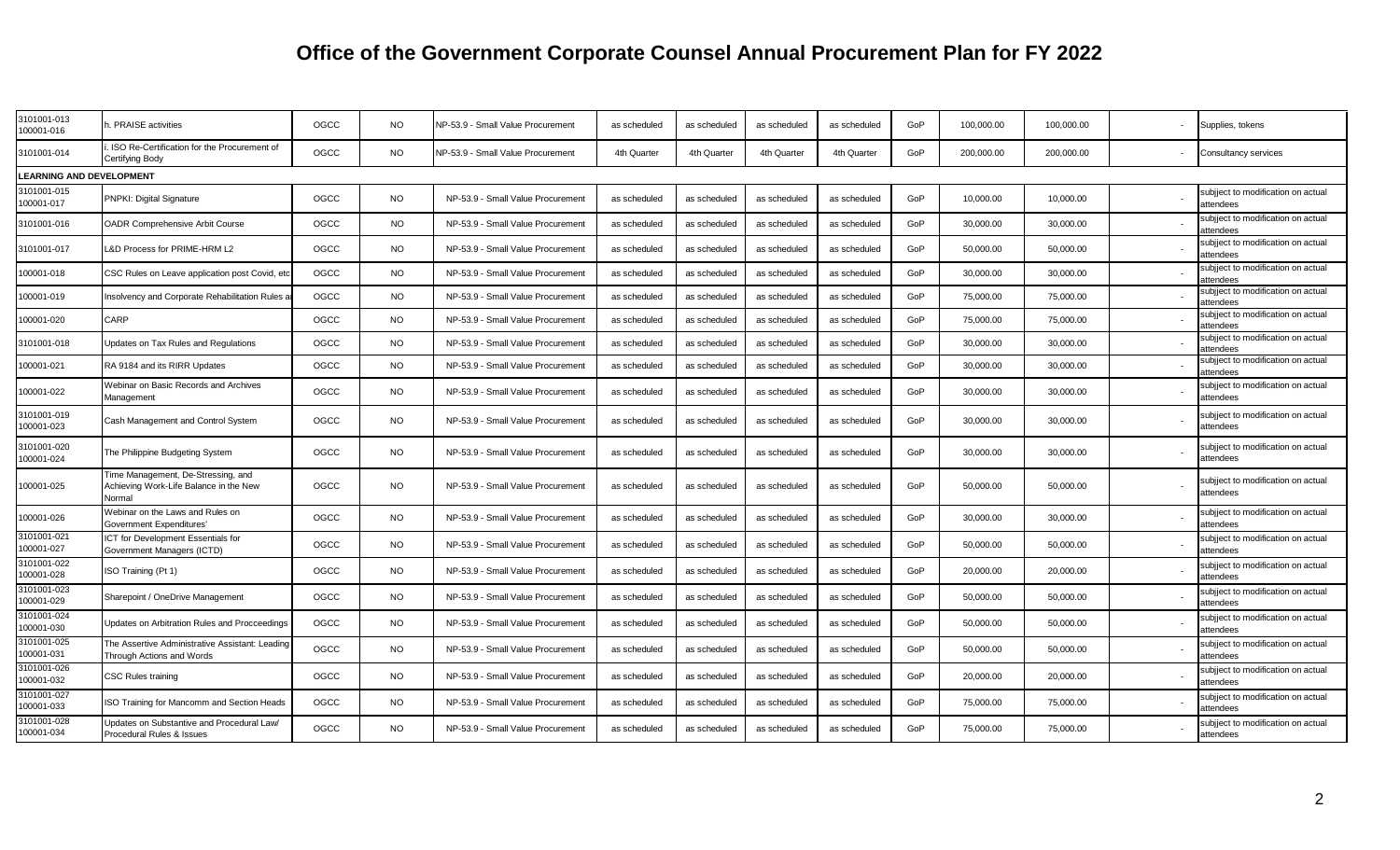| 3101001-013<br>100001-016       | <b>PRAISE</b> activities                                                               | OGCC | <b>NO</b> | VP-53.9 - Small Value Procurement | as scheduled | as scheduled | as scheduled | as scheduled | GoP | 100.000.00 | 100.000.00 | Supplies, tokens                                |
|---------------------------------|----------------------------------------------------------------------------------------|------|-----------|-----------------------------------|--------------|--------------|--------------|--------------|-----|------------|------------|-------------------------------------------------|
| 3101001-014                     | ISO Re-Certification for the Procurement of<br>Certifying Body                         | OGCC | NO.       | VP-53.9 - Small Value Procurement | 4th Quarter  | 4th Quarter  | 4th Quarter  | 4th Quarter  | GoP | 200,000.00 | 200,000.00 | Consultancy services                            |
| <b>LEARNING AND DEVELOPMENT</b> |                                                                                        |      |           |                                   |              |              |              |              |     |            |            |                                                 |
| 3101001-015<br>100001-017       | PNPKI: Digital Signature                                                               | OGCC | NO.       | NP-53.9 - Small Value Procurement | as scheduled | as scheduled | as scheduled | as scheduled | GoP | 10,000.00  | 10,000.00  | subjiect to modification on actual<br>attendees |
| 3101001-016                     | <b>OADR Comprehensive Arbit Course</b>                                                 | OGCC | <b>NO</b> | NP-53.9 - Small Value Procurement | as scheduled | as scheduled | as scheduled | as scheduled | GoP | 30,000.00  | 30,000.00  | subjject to modification on actual<br>attendees |
| 3101001-017                     | &D Process for PRIME-HRM L2                                                            | OGCC | <b>NO</b> | NP-53.9 - Small Value Procurement | as scheduled | as scheduled | as scheduled | as scheduled | GoP | 50,000.00  | 50,000.00  | subjiect to modification on actual<br>attendees |
| 00001-018                       | CSC Rules on Leave application post Covid, eto                                         | OGCC | <b>NO</b> | NP-53.9 - Small Value Procurement | as scheduled | as scheduled | as scheduled | as scheduled | GoP | 30,000.00  | 30,000.00  | subjject to modification on actual<br>attendees |
| 100001-019                      | Insolvency and Corporate Rehabilitation Rules                                          | OGCC | <b>NO</b> | NP-53.9 - Small Value Procurement | as scheduled | as scheduled | as scheduled | as scheduled | GoP | 75,000.00  | 75,000.00  | subjiect to modification on actual<br>attendees |
| 100001-020                      | CARP                                                                                   | OGCC | NO        | NP-53.9 - Small Value Procurement | as scheduled | as scheduled | as scheduled | as scheduled | GoP | 75,000.00  | 75,000.00  | subjiect to modification on actual<br>attendees |
| 3101001-018                     | Updates on Tax Rules and Regulations                                                   | OGCC | <b>NO</b> | NP-53.9 - Small Value Procurement | as scheduled | as scheduled | as scheduled | as scheduled | GoP | 30,000.00  | 30,000.00  | subjject to modification on actual<br>attendees |
| 100001-021                      | RA 9184 and its RIRR Updates                                                           | OGCC | NO.       | NP-53.9 - Small Value Procurement | as scheduled | as scheduled | as scheduled | as scheduled | GoP | 30,000.00  | 30,000.00  | subjiect to modification on actual<br>attendees |
| 100001-022                      | Webinar on Basic Records and Archives<br>Management                                    | OGCC | NO        | NP-53.9 - Small Value Procurement | as scheduled | as scheduled | as scheduled | as scheduled | GoP | 30,000.00  | 30,000.00  | subjiect to modification on actual<br>attendees |
| 3101001-019<br>100001-023       | Cash Management and Control System                                                     | OGCC | NO        | NP-53.9 - Small Value Procurement | as scheduled | as scheduled | as scheduled | as scheduled | GoP | 30,000.00  | 30,000.00  | subjject to modification on actual<br>attendees |
| 3101001-020<br>100001-024       | The Philippine Budgeting System                                                        | OGCC | NO.       | NP-53.9 - Small Value Procurement | as scheduled | as scheduled | as scheduled | as scheduled | GoP | 30,000.00  | 30,000.00  | subjiect to modification on actual<br>attendees |
| 100001-025                      | Time Management, De-Stressing, and<br>Achieving Work-Life Balance in the New<br>Normal | OGCC | <b>NO</b> | NP-53.9 - Small Value Procurement | as scheduled | as scheduled | as scheduled | as scheduled | GoP | 50,000.00  | 50,000.00  | subjiect to modification on actual<br>attendees |
| 100001-026                      | Webinar on the Laws and Rules on<br>Government Expenditures'                           | OGCC | NO.       | NP-53.9 - Small Value Procurement | as scheduled | as scheduled | as scheduled | as scheduled | GoP | 30,000.00  | 30,000.00  | subjject to modification on actual<br>attendees |
| 3101001-021<br>100001-027       | ICT for Development Essentials for<br>Government Managers (ICTD)                       | OGCC | NO        | NP-53.9 - Small Value Procurement | as scheduled | as scheduled | as scheduled | as scheduled | GoP | 50,000.00  | 50,000.00  | subjject to modification on actual<br>attendees |
| 3101001-022<br>100001-028       | ISO Training (Pt 1)                                                                    | OGCC | NO        | NP-53.9 - Small Value Procurement | as scheduled | as scheduled | as scheduled | as scheduled | GoP | 20,000.00  | 20,000.00  | subjject to modification on actual<br>attendees |
| 3101001-023<br>100001-029       | Sharepoint / OneDrive Management                                                       | OGCC | NO        | NP-53.9 - Small Value Procurement | as scheduled | as scheduled | as scheduled | as scheduled | GoP | 50,000.00  | 50,000.00  | subjiect to modification on actual<br>attendees |
| 3101001-024<br>100001-030       | Updates on Arbitration Rules and Procceedings                                          | OGCC | <b>NO</b> | NP-53.9 - Small Value Procurement | as scheduled | as scheduled | as scheduled | as scheduled | GoP | 50,000.00  | 50,000.00  | subjiect to modification on actual<br>attendees |
| 3101001-025<br>100001-031       | The Assertive Administrative Assistant: Leading<br>Through Actions and Words           | OGCC | NO.       | NP-53.9 - Small Value Procurement | as scheduled | as scheduled | as scheduled | as scheduled | GoP | 50,000.00  | 50,000.00  | subjject to modification on actual<br>attendees |
| 3101001-026<br>100001-032       | <b>CSC Rules training</b>                                                              | OGCC | NO        | NP-53.9 - Small Value Procurement | as scheduled | as scheduled | as scheduled | as scheduled | GoP | 20,000.00  | 20,000.00  | subjject to modification on actual<br>attendees |
| 3101001-027<br>100001-033       | ISO Training for Mancomm and Section Heads                                             | OGCC | NO        | NP-53.9 - Small Value Procurement | as scheduled | as scheduled | as scheduled | as scheduled | GoP | 75,000.00  | 75,000.00  | subjject to modification on actual<br>attendees |
| 3101001-028<br>100001-034       | Updates on Substantive and Procedural Law/<br>Procedural Rules & Issues                | OGCC | NO        | NP-53.9 - Small Value Procurement | as scheduled | as scheduled | as scheduled | as scheduled | GoP | 75,000.00  | 75,000.00  | subjject to modification on actual<br>attendees |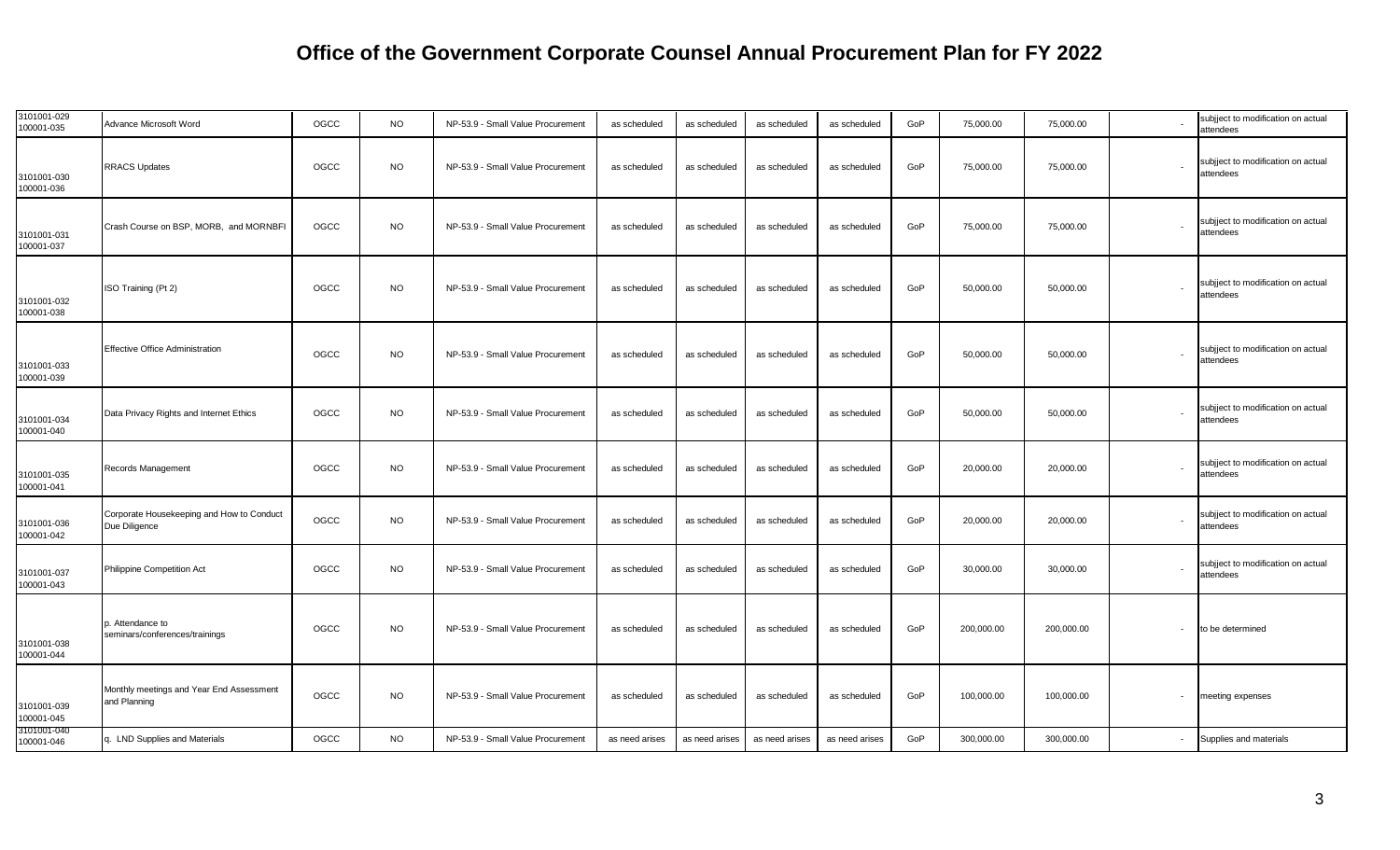| 3101001-029<br>100001-035 | Advance Microsoft Word                                     | OGCC | <b>NO</b> | NP-53.9 - Small Value Procurement | as scheduled   | as scheduled   | as scheduled   | as scheduled   | GoP | 75,000.00  | 75,000.00  |                          | subjject to modification on actual<br>attendees |
|---------------------------|------------------------------------------------------------|------|-----------|-----------------------------------|----------------|----------------|----------------|----------------|-----|------------|------------|--------------------------|-------------------------------------------------|
| 3101001-030<br>100001-036 | <b>RRACS Updates</b>                                       | OGCC | <b>NO</b> | NP-53.9 - Small Value Procurement | as scheduled   | as scheduled   | as scheduled   | as scheduled   | GoP | 75,000.00  | 75,000.00  | $\overline{\phantom{a}}$ | subjject to modification on actual<br>attendees |
| 3101001-031<br>100001-037 | Crash Course on BSP, MORB, and MORNBF                      | OGCC | <b>NO</b> | NP-53.9 - Small Value Procurement | as scheduled   | as scheduled   | as scheduled   | as scheduled   | GoP | 75,000.00  | 75,000.00  |                          | subjject to modification on actual<br>attendees |
| 3101001-032<br>100001-038 | ISO Training (Pt 2)                                        | OGCC | <b>NO</b> | NP-53.9 - Small Value Procurement | as scheduled   | as scheduled   | as scheduled   | as scheduled   | GoP | 50,000.00  | 50,000.00  |                          | subjject to modification on actual<br>attendees |
| 3101001-033<br>100001-039 | <b>Effective Office Administration</b>                     | OGCC | <b>NO</b> | NP-53.9 - Small Value Procurement | as scheduled   | as scheduled   | as scheduled   | as scheduled   | GoP | 50,000.00  | 50,000.00  |                          | subjject to modification on actual<br>attendees |
| 3101001-034<br>100001-040 | Data Privacy Rights and Internet Ethics                    | OGCC | <b>NO</b> | NP-53.9 - Small Value Procurement | as scheduled   | as scheduled   | as scheduled   | as scheduled   | GoP | 50,000.00  | 50,000.00  | $\overline{\phantom{a}}$ | subjject to modification on actual<br>attendees |
| 3101001-035<br>100001-041 | Records Management                                         | OGCC | <b>NO</b> | NP-53.9 - Small Value Procurement | as scheduled   | as scheduled   | as scheduled   | as scheduled   | GoP | 20,000.00  | 20,000.00  | $\overline{\phantom{a}}$ | subjject to modification on actual<br>attendees |
| 3101001-036<br>100001-042 | Corporate Housekeeping and How to Conduct<br>Due Diligence | OGCC | <b>NO</b> | NP-53.9 - Small Value Procurement | as scheduled   | as scheduled   | as scheduled   | as scheduled   | GoP | 20,000.00  | 20,000.00  | $\overline{\phantom{a}}$ | subjject to modification on actual<br>attendees |
| 3101001-037<br>100001-043 | <b>Philippine Competition Act</b>                          | OGCC | <b>NO</b> | NP-53.9 - Small Value Procurement | as scheduled   | as scheduled   | as scheduled   | as scheduled   | GoP | 30,000.00  | 30,000.00  |                          | subjject to modification on actual<br>attendees |
| 3101001-038<br>100001-044 | p. Attendance to<br>seminars/conferences/trainings         | OGCC | <b>NO</b> | NP-53.9 - Small Value Procurement | as scheduled   | as scheduled   | as scheduled   | as scheduled   | GoP | 200,000.00 | 200,000.00 | $\overline{\phantom{a}}$ | to be determined                                |
| 3101001-039<br>100001-045 | Monthly meetings and Year End Assessment<br>and Planning   | OGCC | <b>NO</b> | NP-53.9 - Small Value Procurement | as scheduled   | as scheduled   | as scheduled   | as scheduled   | GoP | 100,000.00 | 100,000.00 |                          | meeting expenses                                |
| 3101001-040<br>100001-046 | q. LND Supplies and Materials                              | OGCC | <b>NO</b> | NP-53.9 - Small Value Procurement | as need arises | as need arises | as need arises | as need arises | GoP | 300,000.00 | 300,000.00 |                          | Supplies and materials                          |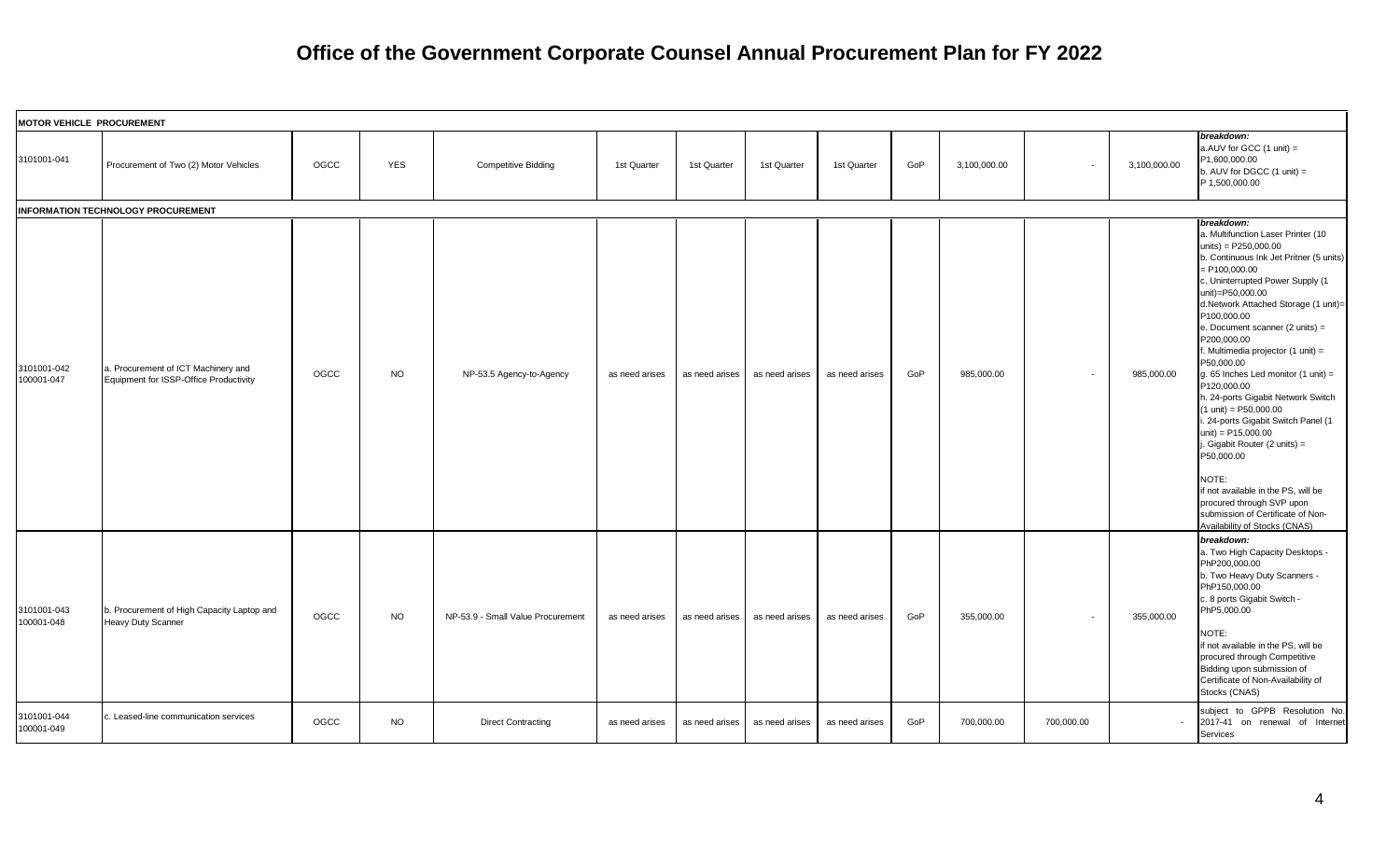|                           | <b>MOTOR VEHICLE PROCUREMENT</b>                                              |      |            |                                   |                |                |                |                |     |              |                          |              |                                                                                                                                                                                                                                                                                                                                                                                                                                                                                                                                                                                                                                                                                                                                                                 |
|---------------------------|-------------------------------------------------------------------------------|------|------------|-----------------------------------|----------------|----------------|----------------|----------------|-----|--------------|--------------------------|--------------|-----------------------------------------------------------------------------------------------------------------------------------------------------------------------------------------------------------------------------------------------------------------------------------------------------------------------------------------------------------------------------------------------------------------------------------------------------------------------------------------------------------------------------------------------------------------------------------------------------------------------------------------------------------------------------------------------------------------------------------------------------------------|
| 3101001-041               | Procurement of Two (2) Motor Vehicles                                         | OGCC | <b>YES</b> | <b>Competitive Bidding</b>        | 1st Quarter    | 1st Quarter    | 1st Quarter    | 1st Quarter    | GoP | 3,100,000.00 | $\overline{\phantom{a}}$ | 3,100,000.00 | breakdown:<br>a.AUV for GCC $(1 \text{ unit}) =$<br>P1,600,000.00<br>b. AUV for DGCC $(1 \text{ unit}) =$<br>P 1,500,000.00                                                                                                                                                                                                                                                                                                                                                                                                                                                                                                                                                                                                                                     |
|                           | INFORMATION TECHNOLOGY PROCUREMENT                                            |      |            |                                   |                |                |                |                |     |              |                          |              |                                                                                                                                                                                                                                                                                                                                                                                                                                                                                                                                                                                                                                                                                                                                                                 |
| 3101001-042<br>100001-047 | a. Procurement of ICT Machinery and<br>Equipment for ISSP-Office Productivity | OGCC | <b>NO</b>  | NP-53.5 Agency-to-Agency          | as need arises | as need arises | as need arises | as need arises | GoP | 985.000.00   | $\sim$                   | 985,000.00   | breakdown:<br>a. Multifunction Laser Printer (10<br>units) = $P250,000.00$<br>b. Continuous Ink Jet Pritner (5 units)<br>P100,000.00<br>c. Uninterrupted Power Supply (1<br>unit)=P50,000.00<br>d.Network Attached Storage (1 unit)=<br>P100,000.00<br>e. Document scanner (2 units) =<br>P200,000.00<br>f. Multimedia projector (1 unit) =<br>P50,000.00<br>g. 65 Inches Led monitor $(1 \text{ unit}) =$<br>P120,000.00<br>h. 24-ports Gigabit Network Switch<br>$(1 \text{ unit}) = P50,000.00$<br>. 24-ports Gigabit Switch Panel (1<br>unit) = P15,000.00<br>. Gigabit Router (2 units) =<br>P50,000.00<br>NOTE:<br>if not available in the PS, will be<br>procured through SVP upon<br>submission of Certificate of Non-<br>Availability of Stocks (CNAS) |
| 3101001-043<br>100001-048 | b. Procurement of High Capacity Laptop and<br>Heavy Duty Scanner              | OGCC | NO         | NP-53.9 - Small Value Procurement | as need arises | as need arises | as need arises | as need arises | GoP | 355,000.00   | $\sim$                   | 355.000.00   | breakdown:<br>a. Two High Capacity Desktops -<br>PhP200,000.00<br>b. Two Heavy Duty Scanners -<br>PhP150,000.00<br>c. 8 ports Gigabit Switch -<br>PhP5,000.00<br>NOTE:<br>if not available in the PS, will be<br>procured through Competitive<br>Bidding upon submission of<br>Certificate of Non-Availability of<br>Stocks (CNAS)                                                                                                                                                                                                                                                                                                                                                                                                                              |
| 3101001-044<br>100001-049 | . Leased-line communication services                                          | OGCC | <b>NO</b>  | <b>Direct Contracting</b>         | as need arises | as need arises | as need arises | as need arises | GoP | 700,000.00   | 700,000.00               |              | subject to GPPB Resolution No.<br>2017-41 on renewal of Internet<br>Services                                                                                                                                                                                                                                                                                                                                                                                                                                                                                                                                                                                                                                                                                    |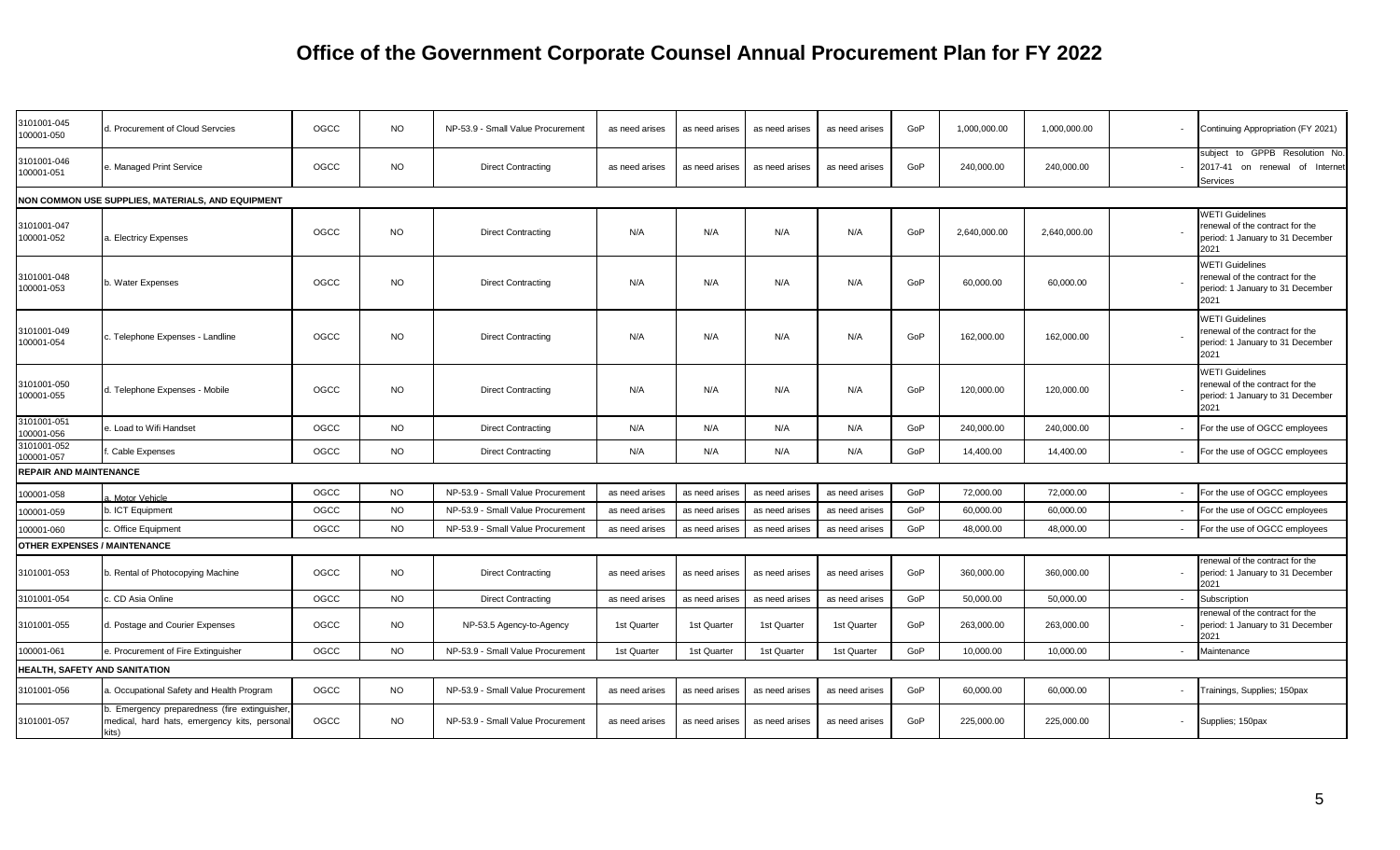| 3101001-045<br>100001-050           | I. Procurement of Cloud Servcies                                                                    | OGCC | <b>NO</b> | NP-53.9 - Small Value Procurement | as need arises | as need arises | as need arises | as need arises | GoP | 1,000,000.00 | 1,000,000.00 |        | Continuing Appropriation (FY 2021)                                                                    |
|-------------------------------------|-----------------------------------------------------------------------------------------------------|------|-----------|-----------------------------------|----------------|----------------|----------------|----------------|-----|--------------|--------------|--------|-------------------------------------------------------------------------------------------------------|
| 3101001-046<br>100001-051           | . Managed Print Service                                                                             | OGCC | <b>NO</b> | <b>Direct Contracting</b>         | as need arises | as need arises | as need arises | as need arises | GoP | 240,000.00   | 240,000.00   |        | subject to GPPB Resolution No<br>on renewal of Internet<br>2017-41<br>Services                        |
|                                     | NON COMMON USE SUPPLIES, MATERIALS, AND EQUIPMENT                                                   |      |           |                                   |                |                |                |                |     |              |              |        |                                                                                                       |
| 3101001-047<br>100001-052           | a. Electricy Expenses                                                                               | OGCC | <b>NO</b> | <b>Direct Contracting</b>         | N/A            | N/A            | N/A            | N/A            | GoP | 2,640,000.00 | 2,640,000.00 |        | <b>WETI Guidelines</b><br>renewal of the contract for the<br>period: 1 January to 31 December<br>2021 |
| 3101001-048<br>100001-053           | o. Water Expenses                                                                                   | OGCC | <b>NO</b> | <b>Direct Contracting</b>         | N/A            | N/A            | N/A            | N/A            | GoP | 60,000.00    | 60,000.00    |        | <b>WETI Guidelines</b><br>renewal of the contract for the<br>period: 1 January to 31 December<br>2021 |
| 3101001-049<br>100001-054           | :. Telephone Expenses - Landline                                                                    | OGCC | <b>NO</b> | <b>Direct Contracting</b>         | N/A            | N/A            | N/A            | N/A            | GoP | 162,000.00   | 162.000.00   |        | <b>WETI Guidelines</b><br>renewal of the contract for the<br>period: 1 January to 31 December<br>2021 |
| 3101001-050<br>100001-055           | d. Telephone Expenses - Mobile                                                                      | OGCC | <b>NO</b> | <b>Direct Contracting</b>         | N/A            | N/A            | N/A            | N/A            | GoP | 120,000.00   | 120,000.00   |        | <b>WETI Guidelines</b><br>renewal of the contract for the<br>period: 1 January to 31 December<br>2021 |
| 3101001-051<br>100001-056           | . Load to Wifi Handset                                                                              | OGCC | <b>NO</b> | <b>Direct Contracting</b>         | N/A            | N/A            | N/A            | N/A            | GoP | 240,000.00   | 240,000.00   |        | For the use of OGCC employees                                                                         |
| 3101001-052<br>100001-057           | Cable Expenses                                                                                      | OGCC | <b>NO</b> | <b>Direct Contracting</b>         | N/A            | N/A            | N/A            | N/A            | GoP | 14,400.00    | 14,400.00    |        | For the use of OGCC employees                                                                         |
| <b>REPAIR AND MAINTENANCE</b>       |                                                                                                     |      |           |                                   |                |                |                |                |     |              |              |        |                                                                                                       |
| 100001-058                          | Motor Vehicle                                                                                       | OGCC | <b>NO</b> | NP-53.9 - Small Value Procurement | as need arises | as need arises | as need arises | as need arises | GoP | 72,000.00    | 72,000.00    |        | For the use of OGCC employees                                                                         |
| 100001-059                          | . ICT Equipment                                                                                     | OGCC | <b>NO</b> | NP-53.9 - Small Value Procurement | as need arises | as need arises | as need arises | as need arises | GoP | 60,000.00    | 60,000.00    |        | For the use of OGCC employees                                                                         |
| 100001-060                          | . Office Equipment                                                                                  | OGCC | <b>NO</b> | NP-53.9 - Small Value Procurement | as need arises | as need arises | as need arises | as need arises | GoP | 48,000.00    | 48,000.00    |        | For the use of OGCC employees                                                                         |
| <b>OTHER EXPENSES / MAINTENANCE</b> |                                                                                                     |      |           |                                   |                |                |                |                |     |              |              |        |                                                                                                       |
| 3101001-053                         | b. Rental of Photocopying Machine                                                                   | OGCC | <b>NO</b> | <b>Direct Contracting</b>         | as need arises | as need arises | as need arises | as need arises | GoP | 360,000.00   | 360,000.00   |        | renewal of the contract for the<br>period: 1 January to 31 December<br>2021                           |
| 3101001-054                         | c. CD Asia Online                                                                                   | OGCC | <b>NO</b> | <b>Direct Contracting</b>         | as need arises | as need arise: | as need arises | as need arises | GoP | 50,000.00    | 50,000.00    |        | Subscription                                                                                          |
| 3101001-055                         | I. Postage and Courier Expenses                                                                     | OGCC | <b>NO</b> | NP-53.5 Agency-to-Agency          | 1st Quarter    | 1st Quarter    | 1st Quarter    | 1st Quarter    | GoP | 263,000.00   | 263,000.00   |        | renewal of the contract for the<br>period: 1 January to 31 December<br>2021                           |
| 100001-061                          | . Procurement of Fire Extinguisher                                                                  | OGCC | <b>NO</b> | NP-53.9 - Small Value Procurement | 1st Quarter    | 1st Quarter    | 1st Quarter    | 1st Quarter    | GoP | 10,000.00    | 10,000.00    |        | Maintenance                                                                                           |
| HEALTH, SAFETY AND SANITATION       |                                                                                                     |      |           |                                   |                |                |                |                |     |              |              |        |                                                                                                       |
| 3101001-056                         | . Occupational Safety and Health Program                                                            | OGCC | <b>NO</b> | NP-53.9 - Small Value Procurement | as need arises | as need arises | as need arises | as need arises | GoP | 60,000.00    | 60,000.00    | $\sim$ | Trainings, Supplies; 150pax                                                                           |
| 3101001-057                         | o. Emergency preparedness (fire extinguisher<br>medical, hard hats, emergency kits, person<br>kits) | OGCC | <b>NO</b> | NP-53.9 - Small Value Procurement | as need arises | as need arises | as need arises | as need arises | GoP | 225,000.00   | 225,000.00   | $\sim$ | Supplies; 150pax                                                                                      |
|                                     |                                                                                                     |      |           |                                   |                |                |                |                |     |              |              |        |                                                                                                       |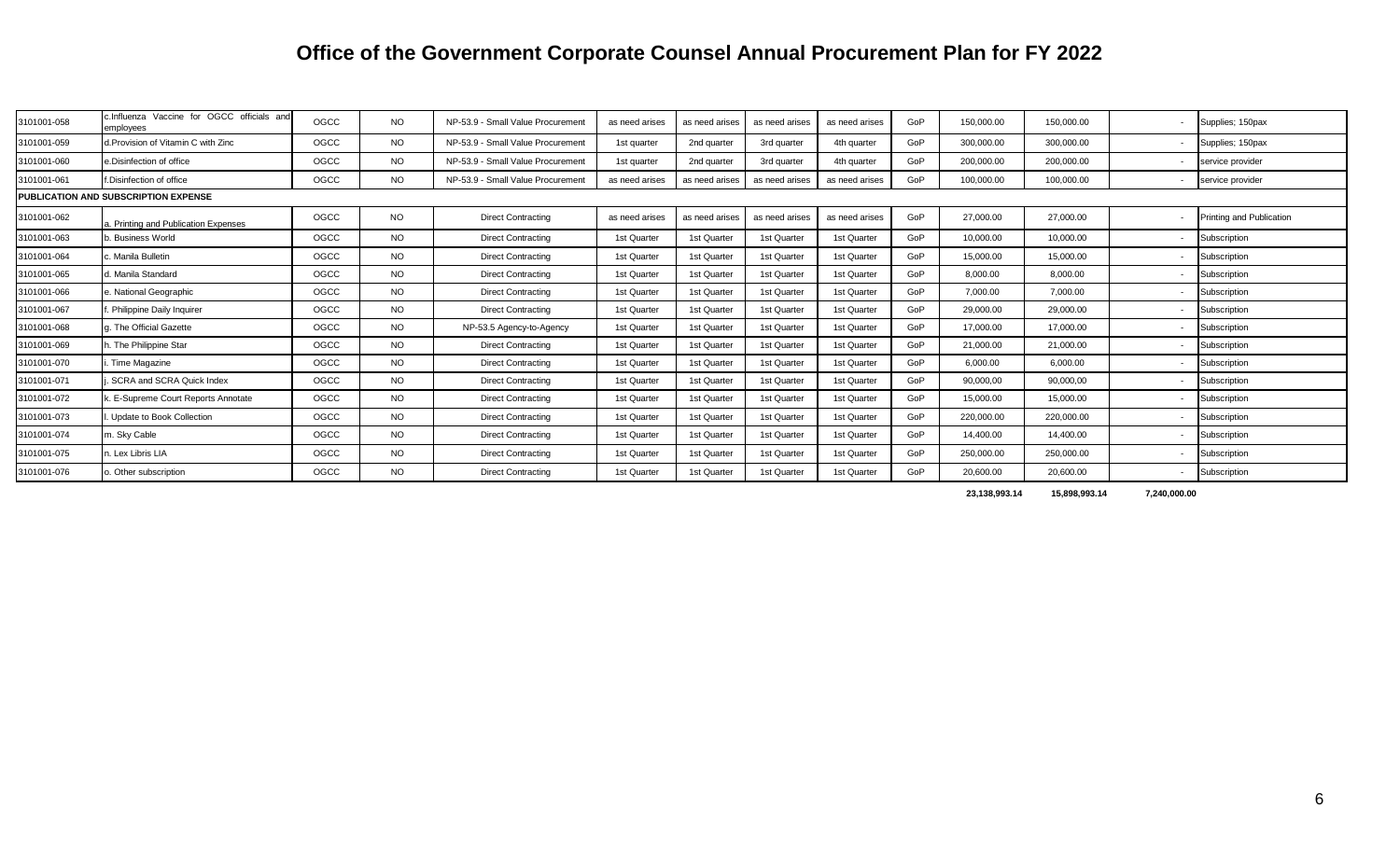| 3101001-058                          | c.Influenza Vaccine for OGCC officials and | OGCC | NO.       | NP-53.9 - Small Value Procurement | as need arises | as need arises | as need arises | as need arises | GoP | 150,000.00 | 150,000.00 | Supplies; 150pax                |
|--------------------------------------|--------------------------------------------|------|-----------|-----------------------------------|----------------|----------------|----------------|----------------|-----|------------|------------|---------------------------------|
|                                      | emplovees                                  |      |           |                                   |                |                |                |                |     |            |            |                                 |
| 3101001-059                          | d. Provision of Vitamin C with Zinc        | OGCC | <b>NO</b> | NP-53.9 - Small Value Procurement | 1st quarter    | 2nd quarter    | 3rd quarter    | 4th quarter    | GoP | 300,000.00 | 300,000.00 | Supplies; 150pax                |
| 3101001-060                          | e.Disinfection of office                   | OGCC | NO.       | NP-53.9 - Small Value Procurement | 1st quarter    | 2nd quarter    | 3rd quarter    | 4th quarter    | GoP | 200,000.00 | 200,000.00 | service provider                |
| 3101001-061                          | f.Disinfection of office                   | OGCC | <b>NO</b> | NP-53.9 - Small Value Procurement | as need arises | as need arises | as need arises | as need arises | GoP | 100,000.00 | 100,000.00 | service provider                |
| PUBLICATION AND SUBSCRIPTION EXPENSE |                                            |      |           |                                   |                |                |                |                |     |            |            |                                 |
| 3101001-062                          | a. Printing and Publication Expenses       | OGCC | <b>NO</b> | <b>Direct Contracting</b>         | as need arises | as need arises | as need arises | as need arises | GoP | 27,000.00  | 27,000.00  | <b>Printing and Publication</b> |
| 3101001-063                          | b. Business World                          | OGCC | <b>NO</b> | <b>Direct Contracting</b>         | 1st Quarter    | 1st Quarter    | 1st Quarter    | 1st Quarter    | GoP | 10.000.00  | 10.000.00  | Subscription                    |
| 3101001-064                          | . Manila Bulletin                          | OGCC | NO.       | <b>Direct Contracting</b>         | 1st Quarter    | 1st Quarter    | 1st Quarter    | 1st Quarter    | GoP | 15.000.00  | 15.000.00  | Subscription                    |
| 3101001-065                          | d. Manila Standard                         | OGCC | <b>NO</b> | <b>Direct Contracting</b>         | 1st Quarter    | 1st Quarter    | 1st Quarter    | 1st Quarter    | GoP | 8,000.00   | 8,000.00   | Subscription                    |
| 3101001-066                          | e. National Geographic                     | OGCC | NO.       | <b>Direct Contracting</b>         | 1st Quarter    | 1st Quarter    | 1st Quarter    | 1st Quarter    | GoP | 7,000.00   | 7,000.00   | Subscription                    |
| 3101001-067                          | Philippine Daily Inquirer                  | OGCC | <b>NO</b> | <b>Direct Contracting</b>         | 1st Quarter    | 1st Quarter    | 1st Quarter    | 1st Quarter    | GoP | 29.000.00  | 29.000.00  | Subscription                    |
| 3101001-068                          | g. The Official Gazette                    | OGCC | NO.       | NP-53.5 Agency-to-Agency          | 1st Quarter    | 1st Quarter    | 1st Quarter    | 1st Quarter    | GoP | 17,000.00  | 17.000.00  | Subscription                    |
| 3101001-069                          | h. The Philippine Star                     | OGCC | <b>NO</b> | <b>Direct Contracting</b>         | 1st Quarter    | 1st Quarter    | 1st Quarter    | 1st Quarter    | GoP | 21,000.00  | 21,000.00  | Subscription                    |
| 3101001-070                          | Time Magazine                              | OGCC | <b>NO</b> | <b>Direct Contracting</b>         | 1st Quarter    | 1st Quarter    | 1st Quarter    | 1st Quarter    | GoP | 6,000.00   | 6,000.00   | Subscription                    |
| 3101001-071                          | SCRA and SCRA Quick Index                  | OGCC | <b>NO</b> | <b>Direct Contracting</b>         | 1st Quarter    | 1st Quarter    | 1st Quarter    | 1st Quarter    | GoP | 90,000,00  | 90,000,00  | <b>Subscription</b>             |
| 3101001-072                          | E-Supreme Court Reports Annotate           | OGCC | <b>NO</b> | <b>Direct Contracting</b>         | 1st Quarter    | 1st Quarter    | 1st Quarter    | 1st Quarter    | GoP | 15,000.00  | 15,000.00  | Subscription                    |
| 3101001-073                          | Update to Book Collection                  | OGCC | <b>NO</b> | <b>Direct Contracting</b>         | 1st Quarter    | 1st Quarter    | 1st Quarter    | 1st Quarter    | GoP | 220,000.00 | 220,000.00 | <b>Subscription</b>             |
| 3101001-074                          | m. Sky Cable                               | OGCC | <b>NO</b> | <b>Direct Contracting</b>         | 1st Quarter    | 1st Quarter    | 1st Quarter    | 1st Quarter    | GoP | 14,400.00  | 14,400.00  | Subscription                    |
| 3101001-075                          | n. Lex Libris LIA                          | OGCC | <b>NO</b> | <b>Direct Contracting</b>         | 1st Quarter    | 1st Quarter    | 1st Quarter    | 1st Quarter    | GoP | 250,000.00 | 250,000.00 | Subscription                    |
| 3101001-076                          | b. Other subscription                      | OGCC | NO.       | <b>Direct Contracting</b>         | 1st Quarter    | 1st Quarter    | 1st Quarter    | 1st Quarter    | GoP | 20.600.00  | 20,600.00  | Subscription                    |

**23,138,993.14 15,898,993.14 7,240,000.00**